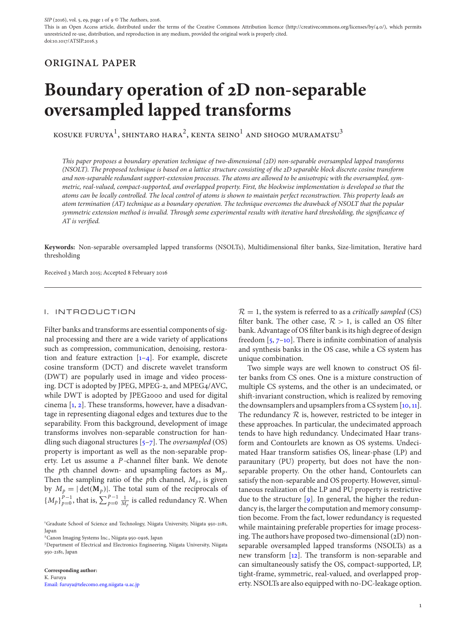This is an Open Access article, distributed under the terms of the Creative Commons Attribution licence (http://creativecommons.org/licenses/by/4.0/), which permits unrestricted re-use, distribution, and reproduction in any medium, provided the original work is properly cited. doi:10.1017/ATSIP.2016.3

## original paper

# **Boundary operation of 2D non-separable oversampled lapped transforms**

KOSUKE FURUYA<sup>1</sup>, SHINTARO HARA<sup>2</sup>, KENTA SEINO<sup>1</sup> AND SHOGO MURAMATSU<sup>3</sup>

*This paper proposes a boundary operation technique of two-dimensional (2D) non-separable oversampled lapped transforms (NSOLT). The proposed technique is based on a lattice structure consisting of the 2D separable block discrete cosine transform and non-separable redundant support-extension processes. The atoms are allowed to be anisotropic with the oversampled, symmetric, real-valued, compact-supported, and overlapped property. First, the blockwise implementation is developed so that the atoms can be locally controlled. The local control of atoms is shown to maintain perfect reconstruction. This property leads an atom termination (AT) technique as a boundary operation. The technique overcomes the drawback of NSOLT that the popular symmetric extension method is invalid. Through some experimental results with iterative hard thresholding, the significance of AT is verified.*

**Keywords:** Non-separable oversampled lapped transforms (NSOLTs), Multidimensional filter banks, Size-limitation, Iterative hard thresholding

Received 3 March 2015; Accepted 8 February 2016

## I. INTRODUCTION

Filter banks and transforms are essential components of signal processing and there are a wide variety of applications such as compression, communication, denoising, restoration and feature extraction  $[1-4]$  $[1-4]$ . For example, discrete cosine transform (DCT) and discrete wavelet transform (DWT) are popularly used in image and video processing. DCT is adopted by JPEG, MPEG-2, and MPEG4/AVC, while DWT is adopted by JPEG2000 and used for digital cinema [\[1,](#page-7-0) [2\]](#page-7-2). These transforms, however, have a disadvantage in representing diagonal edges and textures due to the separability. From this background, development of image transforms involves non-separable construction for handling such diagonal structures [\[5–](#page-7-3)[7\]](#page-7-4). The *oversampled* (OS) property is important as well as the non-separable property. Let us assume a *P* -channel filter bank. We denote the *p*th channel down- and upsampling factors as **M***p*. Then the sampling ratio of the *p*th channel, *Mp*, is given by  $M_p = |\det(\mathbf{M}_p)|$ . The total sum of the reciprocals of  ${M_p}_{p=0}^{P-1}$ , that is,  $\sum_{p=0}^{P-1} \frac{1}{M_p}$  is called redundancy *R*. When

1 Graduate School of Science and Technology, Niigata University, Niigata 950-2181, Japan

2Canon Imaging Systems Inc., Niigata 950-0916, Japan

3 Department of Electrical and Electronics Engineering, Niigata University, Niigata 950-2181, Japan

**Corresponding author:** K. Furuya [Email: furuya@telecom0.eng.niigata-u.ac.jp](mailto:furuya@telecom0.eng.niigata-u.ac.jp)  $R = 1$ , the system is referred to as a *critically sampled* (CS) filter bank. The other case,  $R > 1$ , is called an OS filter bank. Advantage of OS filter bank is its high degree of design freedom  $[5, 7-10]$  $[5, 7-10]$  $[5, 7-10]$  $[5, 7-10]$ . There is infinite combination of analysis and synthesis banks in the OS case, while a CS system has unique combination.

Two simple ways are well known to construct OS filter banks from CS ones. One is a mixture construction of multiple CS systems, and the other is an undecimated, or shift-invariant construction, which is realized by removing the downsamplers and upsamplers from a CS system  $[10, 11]$  $[10, 11]$  $[10, 11]$ . The redundancy  $R$  is, however, restricted to be integer in these approaches. In particular, the undecimated approach tends to have high redundancy. Undecimated Haar transform and Contourlets are known as OS systems. Undecimated Haar transform satisfies OS, linear-phase (LP) and paraunitary (PU) property, but does not have the nonseparable property. On the other hand, Contourlets can satisfy the non-separable and OS property. However, simultaneous realization of the LP and PU property is restrictive due to the structure [\[9\]](#page-7-7). In general, the higher the redundancy is, the larger the computation and memory consumption become. From the fact, lower redundancy is requested while maintaining preferable properties for image processing. The authors have proposed two-dimensional (2D) nonseparable oversampled lapped transforms (NSOLTs) as a new transform [\[12\]](#page-7-8). The transform is non-separable and can simultaneously satisfy the OS, compact-supported, LP, tight-frame, symmetric, real-valued, and overlapped property. NSOLTs are also equipped with no-DC-leakage option.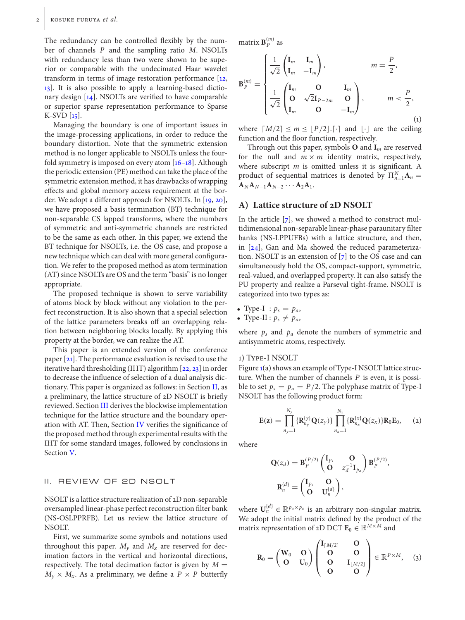The redundancy can be controlled flexibly by the number of channels *P* and the sampling ratio *M*. NSOLTs with redundancy less than two were shown to be superior or comparable with the undecimated Haar wavelet transform in terms of image restoration performance  $[12, 12]$  $[12, 12]$ [13\]](#page-7-9). It is also possible to apply a learning-based dictionary design  $[14]$ . NSOLTs are verified to have comparable or superior sparse representation performance to Sparse K-SVD  $[15]$ .

Managing the boundary is one of important issues in the image-processing applications, in order to reduce the boundary distortion. Note that the symmetric extension method is no longer applicable to NSOLTs unless the fourfold symmetry is imposed on every atom  $[16–18]$  $[16–18]$ . Although the periodic extension (PE) method can take the place of the symmetric extension method, it has drawbacks of wrapping effects and global memory access requirement at the border. We adopt a different approach for NSOLTs. In [\[19,](#page-7-14) [20\]](#page-7-15), we have proposed a basis termination (BT) technique for non-separable CS lapped transforms, where the numbers of symmetric and anti-symmetric channels are restricted to be the same as each other. In this paper, we extend the BT technique for NSOLTs, i.e. the OS case, and propose a new technique which can deal with more general configuration. We refer to the proposed method as atom termination (AT) since NSOLTs are OS and the term "basis" is no longer appropriate.

The proposed technique is shown to serve variability of atoms block by block without any violation to the perfect reconstruction. It is also shown that a special selection of the lattice parameters breaks off an overlapping relation between neighboring blocks locally. By applying this property at the border, we can realize the AT.

This paper is an extended version of the conference paper [\[21\]](#page-7-16). The performance evaluation is revised to use the iterative hard thresholding (IHT) algorithm  $[22, 23]$  $[22, 23]$  $[22, 23]$  in order to decrease the influence of selection of a dual analysis dictionary. This paper is organized as follows: in Section [II,](#page-1-0) as a preliminary, the lattice structure of 2D NSOLT is briefly reviewed. Section [III](#page-3-0) derives the blockwise implementation technique for the lattice structure and the boundary operation with AT. Then, Section [IV](#page-6-0) verifies the significance of the proposed method through experimental results with the IHT for some standard images, followed by conclusions in Section [V.](#page-7-19)

## <span id="page-1-0"></span>II. REVIEW OF 2D NSOLT

NSOLT is a lattice structure realization of 2D non-separable oversampled linear-phase perfect reconstruction filter bank (NS-OSLPPRFB). Let us review the lattice structure of NSOLT.

First, we summarize some symbols and notations used throughout this paper.  $M_y$  and  $M_x$  are reserved for decimation factors in the vertical and horizontal directions, respectively. The total decimation factor is given by  $M =$  $M_{y} \times M_{x}$ . As a preliminary, we define a  $P \times P$  butterfly matrix  ${\bf B}_p^{(m)}$  as

$$
\mathbf{B}_{P}^{(m)} = \begin{cases} \frac{1}{\sqrt{2}} \begin{pmatrix} \mathbf{I}_{m} & \mathbf{I}_{m} \\ \mathbf{I}_{m} & -\mathbf{I}_{m} \end{pmatrix}, & m = \frac{P}{2}, \\ \frac{1}{\sqrt{2}} \begin{pmatrix} \mathbf{I}_{m} & \mathbf{O} & \mathbf{I}_{m} \\ \mathbf{O} & \sqrt{2} \mathbf{I}_{P-2m} & \mathbf{O} \\ \mathbf{I}_{m} & \mathbf{O} & -\mathbf{I}_{m} \end{pmatrix}, & m < \frac{P}{2}, \\ \end{cases} \tag{1}
$$

where  $\lceil M/2 \rceil \le m \le \lfloor P/2 \rfloor$ . and  $\lfloor \cdot \rfloor$  are the ceiling function and the floor function, respectively.

Through out this paper, symbols **O** and **I***<sup>m</sup>* are reserved for the null and  $m \times m$  identity matrix, respectively, where subscript *m* is omitted unless it is significant. A product of sequential matrices is denoted by  $\Pi_{n=1}^{N} \mathbf{A}_n =$  $A_{N}A_{N-1}A_{N-2}\cdots A_{2}A_{1}.$ 

## **A) Lattice structure of 2D NSOLT**

In the article  $[7]$ , we showed a method to construct multidimensional non-separable linear-phase paraunitary filter banks (NS-LPPUFBs) with a lattice structure, and then, in [\[24\]](#page-7-20), Gan and Ma showed the reduced parameterization. NSOLT is an extension of  $[7]$  to the OS case and can simultaneously hold the OS, compact-support, symmetric, real-valued, and overlapped property. It can also satisfy the PU property and realize a Parseval tight-frame. NSOLT is categorized into two types as:

- Type-I :  $p_s = p_a$ ,
- Type-II :  $p_s \neq p_a$ ,

where  $p_s$  and  $p_a$  denote the numbers of symmetric and antisymmetric atoms, respectively.

#### 1) Type-I NSOLT

Figure [1\(](#page-2-0)a) shows an example of Type-I NSOLT lattice structure. When the number of channels *P* is even, it is possible to set  $p_s = p_a = P/2$ . The polyphase matrix of Type-I NSOLT has the following product form:

<span id="page-1-2"></span>
$$
E(z) = \prod_{n_y=1}^{N_y} \{R_{n_y}^{\{y\}} Q(z_y)\} \prod_{n_x=1}^{N_x} \{R_{n_x}^{\{x\}} Q(z_x)\} R_0 E_0, \quad (2)
$$

where

$$
Q(z_d) = B_P^{(P/2)} \begin{pmatrix} I_{p_s} & O \ O & z_d^{-1} I_{p_a} \end{pmatrix} B_P^{(P/2)},
$$
  

$$
R_n^{\{d\}} = \begin{pmatrix} I_{p_s} & O \ O & U_n^{\{d\}} \end{pmatrix},
$$

where  $\mathbf{U}_n^{\{d\}} \in \mathbb{R}^{p_a \times p_a}$  is an arbitrary non-singular matrix. We adopt the initial matrix defined by the product of the matrix representation of 2D DCT  $\mathbf{E}_0 \in \mathbb{R}^{M \times \overline{M}}$  and

<span id="page-1-1"></span>
$$
\mathbf{R}_0 = \begin{pmatrix} \mathbf{W}_0 & \mathbf{O} \\ \mathbf{O} & \mathbf{U}_0 \end{pmatrix} \begin{pmatrix} \mathbf{I}_{\lceil M/2 \rceil} & \mathbf{O} \\ \mathbf{O} & \mathbf{O} \\ \mathbf{O} & \mathbf{I}_{\lfloor M/2 \rfloor} \end{pmatrix} \in \mathbb{R}^{P \times M}, \quad (3)
$$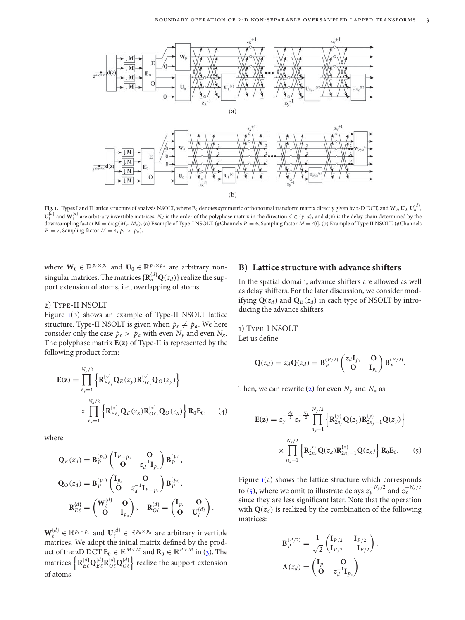

<span id="page-2-0"></span>**Fig. 1.** Types I and II lattice structure of analysis NSOLT, where  $\mathbf{E}_0$  denotes symmetric orthonormal transform matrix directly given by 2-D DCT, and  $\mathbf{W}_0$ ,  $\mathbf{U}_0$ ,  $\mathbf{U}_n^{[d]}$ ,  $\mathbf{U}_{\ell}^{[d]}$  and  $\mathbf{W}_{\ell}^{[d]}$  are arbitrary invertible matrices.  $N_d$  is the order of the polyphase matrix in the direction  $d \in \{y, x\}$ , and  $\mathbf{d}(\mathbf{z})$  is the delay chain determined by the downsampling factor **M** = diag(*My* , *Mx* ). (a) Example of Type-I NSOLT. (#Channels *P* = 6, Sampling factor *M* = 4)], (b) Example of Type II NSOLT. (#Channels  $P = 7$ , Sampling factor  $M = 4$ ,  $p_s > p_a$ ).

where  $W_0 \in \mathbb{R}^{p_s \times p_s}$  and  $U_0 \in \mathbb{R}^{p_a \times p_a}$  are arbitrary nonsingular matrices. The matrices  $\{R_{n}^{\{d\}}\mathbf{Q}(z_d)\}\$  realize the support extension of atoms, i.e., overlapping of atoms.

#### 2) Type-II NSOLT

Figure [1\(](#page-2-0)b) shows an example of Type-II NSOLT lattice structure. Type-II NSOLT is given when  $p_s \neq p_a$ . We here consider only the case  $p_s > p_a$  with even  $N_v$  and even  $N_x$ . The polyphase matrix **E**(**z**) of Type-II is represented by the following product form:

$$
\mathbf{E}(\mathbf{z}) = \prod_{\ell_{y}=1}^{N_{y}/2} \left\{ \mathbf{R}_{E\ell_{y}}^{y} \mathbf{Q}_{E}(z_{y}) \mathbf{R}_{O\ell_{y}}^{y} \mathbf{Q}_{O}(z_{y}) \right\} \times \prod_{\ell_{x}=1}^{N_{x}/2} \left\{ \mathbf{R}_{E\ell_{x}}^{(x)} \mathbf{Q}_{E}(z_{x}) \mathbf{R}_{O\ell_{x}}^{(x)} \mathbf{Q}_{O}(z_{x}) \right\} \mathbf{R}_{0} \mathbf{E}_{0}, \quad (4)
$$

where

$$
Q_E(z_d) = B_P^{(p_a)} \begin{pmatrix} I_{P-p_a} & O \ O & z_d^{-1}I_{p_a} \end{pmatrix} B_P^{(p_a)},
$$
  
\n
$$
Q_O(z_d) = B_P^{(p_a)} \begin{pmatrix} I_{p_a} & O \ O & z_d^{-1}I_{P-p_a} \end{pmatrix} B_P^{(p_a)},
$$
  
\n
$$
R_{E\ell}^{(d)} = \begin{pmatrix} W_{\ell}^{(d)} & O \ O & I_{p_a} \end{pmatrix}, \quad R_{O\ell}^{(d)} = \begin{pmatrix} I_{p_s} & O \ O & U_{\ell}^{(d)} \end{pmatrix}.
$$

 $\mathbf{W}_{\ell}^{\{d\}} \in \mathbb{R}^{p_s \times p_s}$  and  $\mathbf{U}_{\ell}^{\{d\}} \in \mathbb{R}^{p_a \times p_a}$  are arbitrary invertible matrices. We adopt the initial matrix defined by the product of the 2D DCT  $\mathbf{E}_0 \in \mathbb{R}^{M \times M}$  and  $\mathbf{R}_0 \in \mathbb{R}^{P \times M}$  in [\(3\)](#page-1-1). The matrices  $\left\{ \mathbf{R}_{E\ell}^{(d)}\mathbf{Q}_{E\ell}^{(d)}\mathbf{R}_{O\ell}^{(d)}\mathbf{Q}_{O\ell}^{(d)}\right\}$  realize the support extension of atoms.

## **B) Lattice structure with advance shifters**

In the spatial domain, advance shifters are allowed as well as delay shifters. For the later discussion, we consider modifying  $\mathbf{Q}(z_d)$  and  $\mathbf{Q}_E(z_d)$  in each type of NSOLT by introducing the advance shifters.

1) Type-I NSOLT Let us define

$$
\overline{\mathbf{Q}}(z_d) = z_d \mathbf{Q}(z_d) = \mathbf{B}_P^{(P/2)} \begin{pmatrix} z_d \mathbf{I}_{p_s} & \mathbf{O} \\ \mathbf{O} & \mathbf{I}_{p_a} \end{pmatrix} \mathbf{B}_P^{(P/2)}.
$$

<span id="page-2-2"></span>Then, we can rewrite ( $2$ ) for even  $N_v$  and  $N_x$  as

$$
\mathbf{E}(\mathbf{z}) = z_y^{-\frac{N_y}{2}} z_x^{-\frac{N_x}{2}} \prod_{n_y=1}^{N_y/2} \left\{ \mathbf{R}_{2n_y}^{\{y\}} \overline{\mathbf{Q}}(z_y) \mathbf{R}_{2n_y-1}^{\{y\}} \mathbf{Q}(z_y) \right\} \times \prod_{n_x=1}^{N_x/2} \left\{ \mathbf{R}_{2n_x}^{\{x\}} \overline{\mathbf{Q}}(z_x) \mathbf{R}_{2n_x-1}^{\{x\}} \mathbf{Q}(z_x) \right\} \mathbf{R}_0 \mathbf{E}_0.
$$
 (5)

Figure [1\(](#page-2-0)a) shows the lattice structure which corresponds to [\(5\)](#page-2-1), where we omit to illustrate delays  $z_y^{-N_y/2}$  and  $z_x^{-N_x/2}$ since they are less significant later. Note that the operation with  $\mathbf{Q}(z_d)$  is realized by the combination of the following matrices:

<span id="page-2-1"></span>
$$
\mathbf{B}_P^{(P/2)} = \frac{1}{\sqrt{2}} \begin{pmatrix} \mathbf{I}_{P/2} & \mathbf{I}_{P/2} \\ \mathbf{I}_{P/2} & -\mathbf{I}_{P/2} \end{pmatrix},
$$

$$
\mathbf{\Lambda}(z_d) = \begin{pmatrix} \mathbf{I}_{p_s} & \mathbf{O} \\ \mathbf{O} & z_d^{-1} \mathbf{I}_{p_a} \end{pmatrix}
$$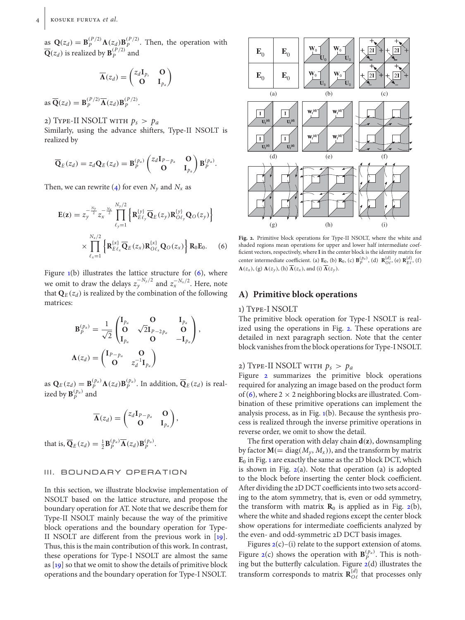as  $\mathbf{Q}(z_d) = \mathbf{B}_p^{(P/2)} \mathbf{\Lambda}(z_d) \mathbf{B}_p^{(P/2)}$ . Then, the operation with  $\overline{\mathbf{Q}}(z_d)$  is realized by  $\mathbf{B}_p^{(P/2)}$  and

$$
\overline{\mathbf{\Lambda}}(z_d) = \begin{pmatrix} z_d \mathbf{I}_{p_s} & \mathbf{O} \\ \mathbf{O} & \mathbf{I}_{p_a} \end{pmatrix}
$$

as  $\overline{\mathbf{Q}}(z_d) = \mathbf{B}_p^{(P/2)} \overline{\mathbf{\Lambda}}(z_d) \mathbf{B}_p^{(P/2)}$ .

2) TYPE-II NSOLT WITH  $p_s$  >  $p_a$ 

Similarly, using the advance shifters, Type-II NSOLT is realized by

$$
\overline{\mathbf{Q}}_E(z_d) = z_d \mathbf{Q}_E(z_d) = \mathbf{B}_P^{(p_a)} \begin{pmatrix} z_d \mathbf{I}_{P-p_a} & \mathbf{O} \\ \mathbf{O} & \mathbf{I}_{p_a} \end{pmatrix} \mathbf{B}_P^{(p_a)}.
$$

Then, we can rewrite [\(4\)](#page-2-2) for even  $N_{\nu}$  and  $N_{\nu}$  as

$$
\mathbf{E}(\mathbf{z}) = z_y^{-\frac{N_y}{2}} z_x^{-\frac{N_x}{2}} \prod_{\ell_y=1}^{N_y/2} \left\{ \mathbf{R}_{E\ell_y}^{\{y\}} \overline{\mathbf{Q}}_E(z_y) \mathbf{R}_{O\ell_y}^{\{y\}} \mathbf{Q}_O(z_y) \right\}
$$

$$
\times \prod_{\ell_x=1}^{N_x/2} \left\{ \mathbf{R}_{E\ell_x}^{\{x\}} \overline{\mathbf{Q}}_E(z_x) \mathbf{R}_{O\ell_x}^{\{x\}} \mathbf{Q}_O(z_x) \right\} \mathbf{R}_0 \mathbf{E}_0. \tag{6}
$$

Figure [1\(](#page-2-0)b) illustrates the lattice structure for [\(6\)](#page-3-1), where we omit to draw the delays  $z_y^{-N_y/2}$  and  $z_x^{-N_x/2}$ . Here, note that  $\mathbf{Q}_E(z_d)$  is realized by the combination of the following matrices:

$$
\mathbf{B}_{P}^{(p_a)} = \frac{1}{\sqrt{2}} \begin{pmatrix} \mathbf{I}_{p_a} & \mathbf{O} & \mathbf{I}_{p_a} \\ \mathbf{O} & \sqrt{2} \mathbf{I}_{P-2p_a} & \mathbf{O} \\ \mathbf{I}_{p_a} & \mathbf{O} & -\mathbf{I}_{p_a} \end{pmatrix},
$$

$$
\mathbf{\Lambda}(z_d) = \begin{pmatrix} \mathbf{I}_{P-p_a} & \mathbf{O} \\ \mathbf{O} & z_d^{-1} \mathbf{I}_{p_a} \end{pmatrix}
$$

as  $\mathbf{Q}_E(z_d) = \mathbf{B}_P^{(p_a)} \mathbf{\Lambda}(z_d) \mathbf{B}_P^{(p_a)}$ . In addition,  $\overline{\mathbf{Q}}_E(z_d)$  is realized by  $\mathbf{B}_P^{(p_a)}$  and

$$
\overline{\Lambda}(z_d) = \begin{pmatrix} z_d \mathbf{I}_{P-p_a} & \mathbf{0} \\ \mathbf{0} & \mathbf{I}_{p_a} \end{pmatrix},
$$

that is,  $\overline{\mathbf{Q}}_E(z_d) = \frac{1}{2} \mathbf{B}_P^{(p_a)} \overline{\mathbf{\Lambda}}(z_d) \mathbf{B}_P^{(p_a)}$ .

## <span id="page-3-0"></span>III. BOUNDARY OPERATION

In this section, we illustrate blockwise implementation of NSOLT based on the lattice structure, and propose the boundary operation for AT. Note that we describe them for Type-II NSOLT mainly because the way of the primitive block operations and the boundary operation for Type-II NSOLT are different from the previous work in [\[19\]](#page-7-14). Thus, this is the main contribution of this work. In contrast, these operations for Type-I NSOLT are almost the same as [\[19\]](#page-7-14) so that we omit to show the details of primitive block operations and the boundary operation for Type-I NSOLT.



<span id="page-3-2"></span><span id="page-3-1"></span>**Fig. 2.** Primitive block operations for Type-II NSOLT, where the white and shaded regions mean operations for upper and lower half intermediate coefficient vectors, respectively, where **I** in the center block is the identity matrix for center intermediate coefficient. (a)  $\mathbf{E}_0$ , (b)  $\mathbf{R}_0$ , (c)  $\mathbf{B}_P^{(p_a)}$ , (d)  $\mathbf{R}_{O\ell}^{\{d\}}$ , (e)  $\mathbf{R}_{E\ell}^{\{d\}}$ , (f)  $\Lambda(z_x)$ , (g)  $\Lambda(z_y)$ , (h)  $\overline{\Lambda}(z_x)$ , and (i)  $\overline{\Lambda}(z_y)$ .

## **A) Primitive block operations**

#### 1) Type-I NSOLT

The primitive block operation for Type-I NSOLT is realized using the operations in Fig. [2.](#page-3-2) These operations are detailed in next paragraph section. Note that the center block vanishes from the block operations for Type-I NSOLT.

## 2) TYPE-II NSOLT WITH  $p_s$  >  $p_a$

Figure [2](#page-3-2) summarizes the primitive block operations required for analyzing an image based on the product form of [\(6\)](#page-3-1), where 2  $\times$  2 neighboring blocks are illustrated. Combination of these primitive operations can implement the analysis process, as in Fig. [1\(](#page-2-0)b). Because the synthesis process is realized through the inverse primitive operations in reverse order, we omit to show the detail.

The first operation with delay chain **d**(**z**), downsampling by factor  $M$ (= diag( $M_y$ ,  $M_x$ )), and the transform by matrix **E**<sup>0</sup> in Fig. [1](#page-2-0) are exactly the same as the 2D block DCT, which is shown in Fig.  $2(a)$  $2(a)$ . Note that operation  $(a)$  is adopted to the block before inserting the center block coefficient. After dividing the 2D DCT coefficients into two sets according to the atom symmetry, that is, even or odd symmetry, the transform with matrix  $\mathbf{R}_0$  is applied as in Fig.  $2(b)$  $2(b)$ , where the white and shaded regions except the center block show operations for intermediate coefficients analyzed by the even- and odd-symmetric 2D DCT basis images.

Figures  $2(c)$  $2(c)$ –(i) relate to the support extension of atoms. Figure [2\(](#page-3-2)c) shows the operation with  $\mathbf{B}_P^{(p_a)}$ . This is nothing but the butterfly calculation. Figure [2\(](#page-3-2)d) illustrates the transform corresponds to matrix  $\mathbf{R}_{O\ell}^{[d]}$  that processes only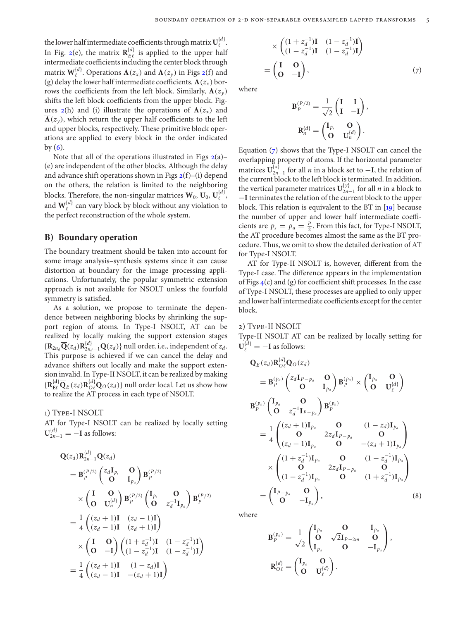the lower half intermediate coefficients through matrix  $\mathbf{U}_{\ell}^{[d]}$ . In Fig. [2\(](#page-3-2)e), the matrix  $\mathbf{R}_{E\ell}^{\{d\}}$  is applied to the upper half intermediate coefficients including the center block through matrix  $\mathbf{W}_{\ell}^{[d]}$ . Operations  $\mathbf{\Lambda}(z_x)$  and  $\mathbf{\Lambda}(z_y)$  in Figs [2\(](#page-3-2)f) and (g) delay the lower half intermediate coefficients.  $\Lambda(z_x)$  borrows the coefficients from the left block. Similarly,  $\Lambda(z_y)$ shifts the left block coefficients from the upper block. Figures  $2(h)$  $2(h)$  and (i) illustrate the operations of  $\overline{\Lambda}(z_x)$  and  $\overline{\Lambda}(z_y)$ , which return the upper half coefficients to the left and upper blocks, respectively. These primitive block operations are applied to every block in the order indicated by  $(6)$ .

Note that all of the operations illustrated in Figs  $2(a)$  $2(a)$ – (e) are independent of the other blocks. Although the delay and advance shift operations shown in Figs [2\(](#page-3-2)f)–(i) depend on the others, the relation is limited to the neighboring blocks. Therefore, the non-singular matrices  $\mathbf{W}_0$ ,  $\mathbf{U}_0$ ,  $\mathbf{U}_{\ell}^{(d)}$ , and  $\mathbf{W}_{\ell}^{\{d\}}$  can vary block by block without any violation to the perfect reconstruction of the whole system.

## **B) Boundary operation**

The boundary treatment should be taken into account for some image analysis–synthesis systems since it can cause distortion at boundary for the image processing applications. Unfortunately, the popular symmetric extension approach is not available for NSOLT unless the fourfold symmetry is satisfied.

As a solution, we propose to terminate the dependence between neighboring blocks by shrinking the support region of atoms. In Type-I NSOLT, AT can be realized by locally making the support extension stages  ${\bf R}_{2n_d}\overline{\bf Q}(z_d){\bf R}_{2n_d-1}^{[d]}\bf Q(z_d)$ } null order, i.e., independent of  $z_d$ . This purpose is achieved if we can cancel the delay and advance shifters out locally and make the support extension invalid. In Type-II NSOLT, it can be realized by making  ${\bf R}^{(d)}_{E\ell}$   $\overline{\bf Q}_E(z_d)$   ${\bf R}^{(d)}_{O\ell}$   $\bf Q}_O(z_d)$ } null order local. Let us show how to realize the AT process in each type of NSOLT.

#### 1) Type-I NSOLT

AT for Type-I NSOLT can be realized by locally setting  $\mathbf{U}_{2n-1}^{d} = -\mathbf{I}$  as follows:

$$
\overline{Q}(z_d)R_{2n-1}^{[d]}Q(z_d)
$$
\n
$$
= B_P^{(P/2)} \begin{pmatrix} z_dI_{p_s} & O \ O & I_{p_a} \end{pmatrix} B_P^{(P/2)}
$$
\n
$$
\times \begin{pmatrix} I & O \ O & I_{p_a} \end{pmatrix} B_P^{(P/2)} \begin{pmatrix} I_{p_s} & O \ O & z_d^{-1}I_{p_a} \end{pmatrix} B_P^{(P/2)}
$$
\n
$$
= \frac{1}{4} \begin{pmatrix} (z_d + 1)I & (z_d - 1)I \\ (z_d - 1)I & (z_d + 1)I \end{pmatrix}
$$
\n
$$
\times \begin{pmatrix} I & O \\ O & -I \end{pmatrix} \begin{pmatrix} (1 + z_a^{-1})I & (1 - z_a^{-1})I \\ (1 - z_a^{-1})I & (1 - z_a^{-1})I \end{pmatrix}
$$
\n
$$
= \frac{1}{4} \begin{pmatrix} (z_d + 1)I & (1 - z_d)I \\ (z_d - 1)I & -(z_d + 1)I \end{pmatrix}
$$

$$
\times \begin{pmatrix} (1+z_d^{-1})\mathbf{I} & (1-z_d^{-1})\mathbf{I} \\ (1-z_d^{-1})\mathbf{I} & (1-z_d^{-1})\mathbf{I} \end{pmatrix}
$$

$$
= \begin{pmatrix} \mathbf{I} & \mathbf{O} \\ \mathbf{O} & -\mathbf{I} \end{pmatrix}, \tag{7}
$$

where

<span id="page-4-0"></span>
$$
\mathbf{B}_P^{(P/2)} = \frac{1}{\sqrt{2}} \begin{pmatrix} \mathbf{I} & \mathbf{I} \\ \mathbf{I} & -\mathbf{I} \end{pmatrix},
$$

$$
\mathbf{R}_n^{\{d\}} = \begin{pmatrix} \mathbf{I}_{p_s} & \mathbf{O} \\ \mathbf{O} & \mathbf{U}_n^{\{d\}} \end{pmatrix}.
$$

Equation [\(7\)](#page-4-0) shows that the Type-I NSOLT can cancel the overlapping property of atoms. If the horizontal parameter matrices  $\mathbf{U}_{2n-1}^{[x]}$  for all *n* in a block set to −**I**, the relation of the current block to the left block is terminated. In addition, the vertical parameter matrices  $\mathbf{U}_{2n-1}^{[y]}$  for all *n* in a block to −**I** terminates the relation of the current block to the upper block. This relation is equivalent to the BT in [\[19\]](#page-7-14) because the number of upper and lower half intermediate coefficients are  $p_s = p_a = \frac{p}{2}$ . From this fact, for Type-I NSOLT, the AT procedure becomes almost the same as the BT procedure. Thus, we omit to show the detailed derivation of AT for Type-I NSOLT.

AT for Type-II NSOLT is, however, different from the Type-I case. The difference appears in the implementation of Figs  $4(c)$  $4(c)$  and (g) for coefficient shift processes. In the case of Type-I NSOLT, these processes are applied to only upper and lower half intermediate coefficients except for the center block.

## 2) Type-II NSOLT

Type-II NSOLT AT can be realized by locally setting for  $\mathbf{U}_{\ell}^{(\tilde{d})} = -\mathbf{I}$  as follows:

$$
\overline{Q}_{E}(z_{d})R_{O\ell}^{(d)}Q_{O}(z_{d})
$$
\n
$$
= B_{P}^{(p_{a})} \begin{pmatrix} z_{d}I_{P-p_{a}} & O \ O \end{pmatrix} B_{P}^{(p_{a})} \times \begin{pmatrix} I_{p_{a}} & O \ O \end{pmatrix}
$$
\n
$$
B_{P}^{(p_{a})} \begin{pmatrix} I_{p_{a}} & O \ O \end{pmatrix} \begin{pmatrix} I_{p_{a}} & O \ O \end{pmatrix} B_{P}^{(p_{a})}
$$
\n
$$
= \frac{1}{4} \begin{pmatrix} (z_{d} + 1)I_{p_{a}} & O & (1 - z_{d})I_{p_{a}} O \ (z_{d} - 1)I_{p_{a}} & O & -(z_{d} + 1)I_{p_{a}} \ O \end{pmatrix}
$$
\n
$$
\times \begin{pmatrix} (1 + z_{d}^{-1})I_{p_{a}} & O & (1 - z_{d}^{-1})I_{p_{a}} O \ (1 - z_{d}^{-1})I_{p_{a}} & O \ (1 - z_{d}^{-1})I_{p_{a}} & O \end{pmatrix}
$$
\n
$$
= \begin{pmatrix} I_{P-p_{a}} & O \ O & -I_{p_{a}} \end{pmatrix}, \qquad (8)
$$

where

<span id="page-4-1"></span>
$$
\mathbf{B}_{P}^{(p_a)} = \frac{1}{\sqrt{2}} \begin{pmatrix} \mathbf{I}_{p_a} & \mathbf{O} & \mathbf{I}_{p_a} \\ \mathbf{O} & \sqrt{2} \mathbf{I}_{P-2m} & \mathbf{O} \\ \mathbf{I}_{p_a} & \mathbf{O} & -\mathbf{I}_{p_a} \end{pmatrix},
$$

$$
\mathbf{R}_{O\ell}^{ \{d\}} = \begin{pmatrix} \mathbf{I}_{p_a} & \mathbf{O} \\ \mathbf{O} & \mathbf{U}_{\ell}^{ \{d\}} \end{pmatrix}.
$$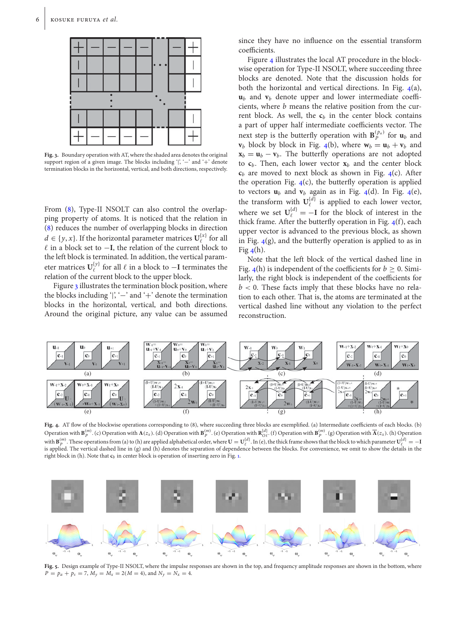

<span id="page-5-1"></span>**Fig. 3.** Boundary operation with AT, where the shaded area denotes the original support region of a given image. The blocks including '|', '-' and '+' denote termination blocks in the horizontal, vertical, and both directions, respectively.

From [\(8\)](#page-4-1), Type-II NSOLT can also control the overlapping property of atoms. It is noticed that the relation in [\(8\)](#page-4-1) reduces the number of overlapping blocks in direction *d* ∈ {*y*, *x*}. If the horizontal parameter matrices  $U_{\ell}^{(x)}$  for all in a block set to −**I**, the relation of the current block to the left block is terminated. In addition, the vertical parameter matrices  $\mathbf{U}_{\ell}^{\{y\}}$  for all  $\ell$  in a block to −**I** terminates the relation of the current block to the upper block.

Figure [3](#page-5-1) illustrates the termination block position, where the blocks including '|', ' $-$ ' and ' $+$ ' denote the termination blocks in the horizontal, vertical, and both directions. Around the original picture, any value can be assumed since they have no influence on the essential transform coefficients.

Figure [4](#page-5-0) illustrates the local AT procedure in the blockwise operation for Type-II NSOLT, where succeeding three blocks are denoted. Note that the discussion holds for both the horizontal and vertical directions. In Fig. [4\(](#page-5-0)a),  $\mathbf{u}_b$  and  $\mathbf{v}_b$  denote upper and lower intermediate coefficients, where *b* means the relative position from the current block. As well, the  $c<sub>b</sub>$  in the center block contains a part of upper half intermediate coefficients vector. The next step is the butterfly operation with  $\mathbf{B}_P^{(p_a)}$  for  $\mathbf{u}_b$  and  $\mathbf{v}_b$  block by block in Fig. [4\(](#page-5-0)b), where  $\mathbf{w}_b = \mathbf{u}_b + \mathbf{v}_b$  and  $\mathbf{x}_b = \mathbf{u}_b - \mathbf{v}_b$ . The butterfly operations are not adopted to  $c_b$ . Then, each lower vector  $x_b$  and the center block  $c_b$  are moved to next block as shown in Fig.  $4(c)$  $4(c)$ . After the operation Fig.  $4(c)$  $4(c)$ , the butterfly operation is applied to vectors  $\mathbf{u}_b$  and  $\mathbf{v}_b$  again as in Fig. [4\(](#page-5-0)d). In Fig. 4(e), the transform with  $\mathbf{U}_{\ell}^{[d]}$  is applied to each lower vector, where we set  $\mathbf{U}_{\ell}^{(d)} = -\mathbf{I}$  for the block of interest in the thick frame. After the butterfly operation in Fig.  $4(f)$  $4(f)$ , each upper vector is advanced to the previous block, as shown in Fig.  $4(g)$  $4(g)$ , and the butterfly operation is applied to as in Fig  $4(h)$  $4(h)$ .

Note that the left block of the vertical dashed line in Fig.  $4(h)$  $4(h)$  is independent of the coefficients for  $b > 0$ . Similarly, the right block is independent of the coefficients for  $b < 0$ . These facts imply that these blocks have no relation to each other. That is, the atoms are terminated at the vertical dashed line without any violation to the perfect reconstruction.



<span id="page-5-0"></span>**Fig. 4.** AT flow of the blockwise operations corresponding to (8), where succeeding three blocks are exemplified. (a) Intermediate coefficients of each blocks. (b) Operation with  $\mathbf{B}_{p}^{(m)}$ . (c) Operation with  $\mathbf{\Lambda}(z_{x})$ . (d) Operation with  $\mathbf{B}_{p}^{(m)}$ . (e) Operation with  $\mathbf{R}_{O\ell}^{d}$ . (f) Operation with  $\mathbf{B}_{p}^{(m)}$ . (g) Operation with  $\overline{\mathbf{\Lambda}}(z_{x})$ . (h) Operation with  $\mathbf{B}^{(m)}_P$ . These operations from (a) to (h) are applied alphabetical order, where  $\mathbf{U}=\mathbf{U}^{(d)}_\ell$ . In (e), the thick frame shows that the block to which parameter  $\mathbf{U}^{(d)}_\ell=-\mathbf{I}$ is applied. The vertical dashed line in (g) and (h) denotes the separation of dependence between the blocks. For convenience, we omit to show the details in the right block in (h). Note that **c***<sup>b</sup>* in center block is operation of inserting zero in Fig. [1.](#page-2-0)



<span id="page-5-2"></span>**Fig. 5.** Design example of Type-II NSOLT, where the impulse responses are shown in the top, and frequency amplitude responses are shown in the bottom, where  $P = p_a + p_s = 7$ ,  $M_y = M_x = 2(M = 4)$ , and  $N_y = N_x = 4$ .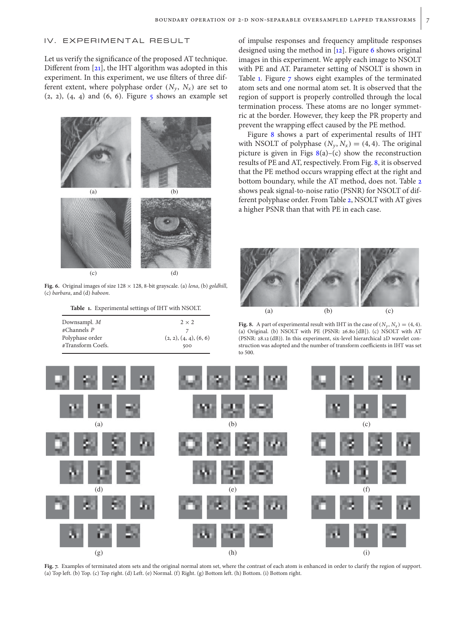#### <span id="page-6-0"></span>IV. EXPERIMENTAL RESULT

Let us verify the significance of the proposed AT technique. Different from [\[21\]](#page-7-16), the IHT algorithm was adopted in this experiment. In this experiment, we use filters of three different extent, where polyphase order  $(N_v, N_x)$  are set to  $(2, 2)$ ,  $(4, 4)$  and  $(6, 6)$ . Figure [5](#page-5-2) shows an example set



**Fig. 6.** Original images of size  $128 \times 128$ , 8-bit grayscale. (a) *lena*, (b) *goldhill*, (c) *barbara*, and (d) *baboon*.

<span id="page-6-2"></span><span id="page-6-1"></span>**Table 1.** Experimental settings of IHT with NSOLT.

| Downsampl. M      | $2 \times 2$           |  |
|-------------------|------------------------|--|
| #Channels $P$     |                        |  |
| Polyphase order   | (2, 2), (4, 4), (6, 6) |  |
| #Transform Coefs. | 500                    |  |
|                   |                        |  |

of impulse responses and frequency amplitude responses designed using the method in [\[12\]](#page-7-8). Figure [6](#page-6-1) shows original images in this experiment. We apply each image to NSOLT with PE and AT. Parameter setting of NSOLT is shown in Table [1.](#page-6-2) Figure [7](#page-6-3) shows eight examples of the terminated atom sets and one normal atom set. It is observed that the region of support is properly controlled through the local termination process. These atoms are no longer symmetric at the border. However, they keep the PR property and prevent the wrapping effect caused by the PE method.

Figure [8](#page-6-4) shows a part of experimental results of IHT with NSOLT of polyphase  $(N_v, N_x) = (4, 4)$ . The original picture is given in Figs  $8(a)$  $8(a)$ –(c) show the reconstruction results of PE and AT, respectively. From Fig. [8,](#page-6-4) it is observed that the PE method occurs wrapping effect at the right and bottom boundary, while the AT method, does not. Table [2](#page-7-21) shows peak signal-to-noise ratio (PSNR) for NSOLT of different polyphase order. From Table [2,](#page-7-21) NSOLT with AT gives a higher PSNR than that with PE in each case.



<span id="page-6-4"></span>**Fig. 8.** A part of experimental result with IHT in the case of  $(N_v, N_x) = (4, 4)$ . (a) Original. (b) NSOLT with PE (PSNR: 26.80 [dB]). (c) NSOLT with AT (PSNR: 28.12 (dB)). In this experiment, six-level hierarchical 2D wavelet construction was adopted and the number of transform coefficients in IHT was set to 500.



<span id="page-6-3"></span>**Fig. 7.** Examples of terminated atom sets and the original normal atom set, where the contrast of each atom is enhanced in order to clarify the region of support. (a) Top left. (b) Top. (c) Top right. (d) Left. (e) Normal. (f) Right. (g) Bottom left. (h) Bottom. (i) Bottom right.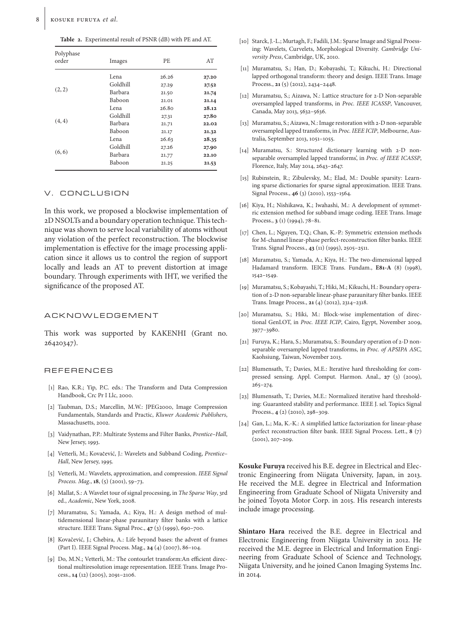<span id="page-7-21"></span>**Table 2.** Experimental result of PSNR (dB) with PE and AT.

| Polyphase<br>order | Images   | PE.   | AT    |
|--------------------|----------|-------|-------|
|                    | Lena     | 26.26 | 27.20 |
|                    | Goldhill | 27.29 | 27.52 |
| (2, 2)             | Barbara  | 21.50 | 21.74 |
|                    | Baboon   | 21.01 | 21.14 |
|                    | Lena     | 26.80 | 28.12 |
|                    | Goldhill | 27.31 | 27.80 |
| (4, 4)             | Barbara  | 21.71 | 22.02 |
|                    | Baboon   | 21.17 | 21.32 |
|                    | Lena     | 26.63 | 28.35 |
|                    | Goldhill | 27.26 | 27.90 |
| (6, 6)             | Barbara  | 21.77 | 22.10 |
|                    | Baboon   | 21.25 | 21.53 |

## <span id="page-7-19"></span>V. CONCLUSION

In this work, we proposed a blockwise implementation of 2D NSOLTs and a boundary operation technique. This technique was shown to serve local variability of atoms without any violation of the perfect reconstruction. The blockwise implementation is effective for the image processing application since it allows us to control the region of support locally and leads an AT to prevent distortion at image boundary. Through experiments with IHT, we verified the significance of the proposed AT.

## ACKNOWLEDGEMENT

This work was supported by KAKENHI (Grant no. 26420347).

#### <span id="page-7-0"></span>REFERENCES

- [1] Rao, K.R.; Yip, P.C. eds.: The Transform and Data Compression Handbook, Crc Pr I Llc, 2000.
- <span id="page-7-2"></span>[2] Taubman, D.S.; Marcellin, M.W.: JPEG2000, Image Compression Fundamentals, Standards and Practic, *Kluwer Academic Publishers*, Massachusetts, 2002.
- [3] Vaidynathan, P.P.: Multirate Systems and Filter Banks, *Prentice–Hall*, New Jersey, 1993.
- <span id="page-7-1"></span>[4] Vetterli, M.; Kovaĉević, J.: Wavelets and Subband Coding, Prentice-*Hall*, New Jersey, 1995.
- <span id="page-7-3"></span>[5] Vetterli, M.: Wavelets, approximation, and compression. *IEEE Signal Process. Mag.*, **18**, (5) (2001), 59–73.
- [6] Mallat, S.: A Wavelet tour of signal processing, in *The Sparse Way*, 3rd ed., *Academic*, New York, 2008.
- <span id="page-7-4"></span>[7] Muramatsu, S.; Yamada, A.; Kiya, H.: A design method of multidemensional linear-phase paraunitary filter banks with a lattice structure. IEEE Trans. Signal Proc., **47** (3) (1999), 690–700.
- [8] Kovaĉević, J.; Chebira, A.: Life beyond bases: the advent of frames (Part I). IEEE Signal Process. Mag., **24** (4) (2007), 86–104.
- <span id="page-7-7"></span>[9] Do, M.N.; Vetterli, M.: The contourlet transform:An efficient directional multiresolution image representation. IEEE Trans. Image Process., **14** (12) (2005), 2091–2106.
- <span id="page-7-5"></span>[10] Starck, J.-L.; Murtagh, F.; Fadili, J.M.: Sparse Image and Signal Proessing: Wavelets, Curvelets, Morphological Diversity. *Cambridge University Press*, Cambridge, UK, 2010.
- <span id="page-7-6"></span>[11] Muramatsu, S.; Han, D.; Kobayashi, T.; Kikuchi, H.: Directional lapped orthogonal transform: theory and design. IEEE Trans. Image Process., **21** (5) (2012), 2434–2448.
- <span id="page-7-8"></span>[12] Muramatsu, S.; Aizawa, N.: Lattice structure for 2-D Non-separable oversampled lapped transforms, in *Proc. IEEE ICASSP*, Vancouver, Canada, May 2013, 5632–5636.
- <span id="page-7-9"></span>[13] Muramatsu, S.; Aizawa, N.: Image restoration with 2-D non-separable oversampled lapped transforms, in *Proc. IEEE ICIP*, Melbourne, Australia, September 2013, 1051–1055.
- <span id="page-7-10"></span>[14] Muramatsu, S.: Structured dictionary learning with 2-D nonseparable oversampled lapped transforms', in *Proc. of IEEE ICASSP*, Florence, Italy, May 2014, 2643–2647.
- <span id="page-7-11"></span>[15] Rubinstein, R.; Zibulevsky, M.; Elad, M.: Double sparsity: Learning sparse dictionaries for sparse signal approximation. IEEE Trans. Signal Process., **46** (3) (2010), 1553–1564.
- <span id="page-7-12"></span>[16] Kiya, H.; Nishikawa, K.; Iwahashi, M.: A development of symmetric extension method for subband image coding. IEEE Trans. Image Process., **3** (1) (1994), 78–81.
- [17] Chen, L.; Nguyen, T.Q.; Chan, K.-P.: Symmetric extension methods for M-channel linear-phase perfect-reconstruction filter banks. IEEE Trans. Signal Process., **43** (11) (1995), 2505–2511.
- <span id="page-7-13"></span>[18] Muramatsu, S.; Yamada, A.; Kiya, H.: The two-dimensional lapped Hadamard transform. IEICE Trans. Fundam., **E81-A** (8) (1998), 1542–1549.
- <span id="page-7-14"></span>[19] Muramatsu, S.; Kobayashi, T.; Hiki, M.; Kikuchi, H.: Boundary operation of 2-D non-separable linear-phase paraunitary filter banks. IEEE Trans. Image Process., **21** (4) (2012), 2314–2318.
- <span id="page-7-15"></span>[20] Muramatsu, S.; Hiki, M.: Block-wise implementation of directional GenLOT, in *Proc. IEEE ICIP*, Cairo, Egypt, November 2009, 3977–3980.
- <span id="page-7-16"></span>[21] Furuya, K.; Hara, S.; Muramatsu, S.: Boundary operation of 2-D nonseparable oversampled lapped transforms, in *Proc. of APSIPA ASC*, Kaohsiung, Taiwan, November 2013.
- <span id="page-7-17"></span>[22] Blumensath, T.; Davies, M.E.: Iterative hard thresholding for compressed sensing. Appl. Comput. Harmon. Anal., **27** (3) (2009), 265–274.
- <span id="page-7-18"></span>[23] Blumensath, T.; Davies, M.E.: Normalized iterative hard thresholding: Guaranteed stability and performance. IEEE J. sel. Topics Signal Process., **4** (2) (2010), 298–309.
- <span id="page-7-20"></span>[24] Gan, L.; Ma, K.-K.: A simplified lattice factorization for linear-phase perfect reconstruction filter bank. IEEE Signal Process. Lett., **8** (7) (2001), 207–209.

**Kosuke Furuya** received his B.E. degree in Electrical and Electronic Engineering from Niigata University, Japan, in 2013. He received the M.E. degree in Electrical and Information Engineering from Graduate School of Niigata University and he joined Toyota Motor Corp. in 2015. His research interests include image processing.

**Shintaro Hara** received the B.E. degree in Electrical and Electronic Engineering from Niigata University in 2012. He received the M.E. degree in Electrical and Information Engineering from Graduate School of Science and Technology, Niigata University, and he joined Canon Imaging Systems Inc. in 2014.